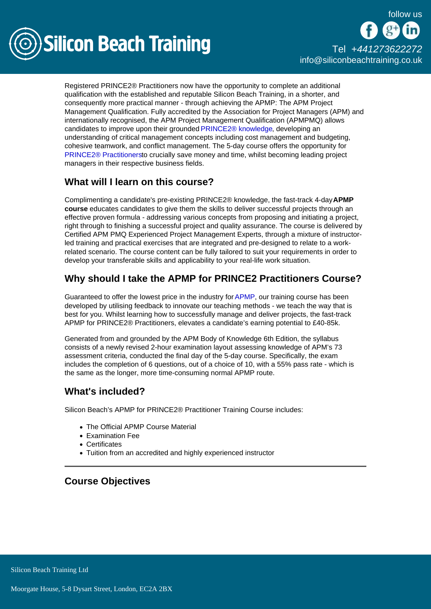

# [Tel +44](tel:+441273622272)1273622272 [info@siliconbeachtraining.co.uk](/var/www/html/siliconbeachtraining.co.uk/public/mailTo:info@siliconbeachtraining.co.uk)

Registered PRINCE2® Practitioners now have the opportunity to complete an additional qualification with the established and reputable Silicon Beach Training, in a shorter, and consequently more practical manner - through achieving the APMP: The APM Project Management Qualification. Fully accredited by the Association for Project Managers (APM) and internationally recognised, the APM Project Management Qualification (APMPMQ) allows candidates to improve upon their grounded [PRINCE2® knowledge](/prince2-training), developing an understanding of critical management concepts including cost management and budgeting, cohesive teamwork, and conflict management. The 5-day course offers the opportunity for [PRINCE2® Practitionerst](/prince2-training/prince2-practitioner)o crucially save money and time, whilst becoming leading project managers in their respective business fields.

## What will I learn on this course?

Complimenting a candidate's pre-existing PRINCE2® knowledge, the fast-track 4-day APMP course educates candidates to give them the skills to deliver successful projects through an effective proven formula - addressing various concepts from proposing and initiating a project, right through to finishing a successful project and quality assurance. The course is delivered by Certified APM PMQ Experienced Project Management Experts, through a mixture of instructorled training and practical exercises that are integrated and pre-designed to relate to a workrelated scenario. The course content can be fully tailored to suit your requirements in order to develop your transferable skills and applicability to your real-life work situation.

## Why should I take the APMP for PRINCE2 Practitioners Course?

Guaranteed to offer the lowest price in the industry for [APMP](/apmp-training), our training course has been developed by utilising feedback to innovate our teaching methods - we teach the way that is best for you. Whilst learning how to successfully manage and deliver projects, the fast-track APMP for PRINCE2® Practitioners, elevates a candidate's earning potential to £40-85k.

Generated from and grounded by the APM Body of Knowledge 6th Edition, the syllabus consists of a newly revised 2-hour examination layout assessing knowledge of APM's 73 assessment criteria, conducted the final day of the 5-day course. Specifically, the exam includes the completion of 6 questions, out of a choice of 10, with a 55% pass rate - which is the same as the longer, more time-consuming normal APMP route.

#### What's included?

Silicon Beach's APMP for PRINCE2® Practitioner Training Course includes:

- The Official APMP Course Material
- Examination Fee
- Certificates
- Tuition from an accredited and highly experienced instructor

### Course Objectives